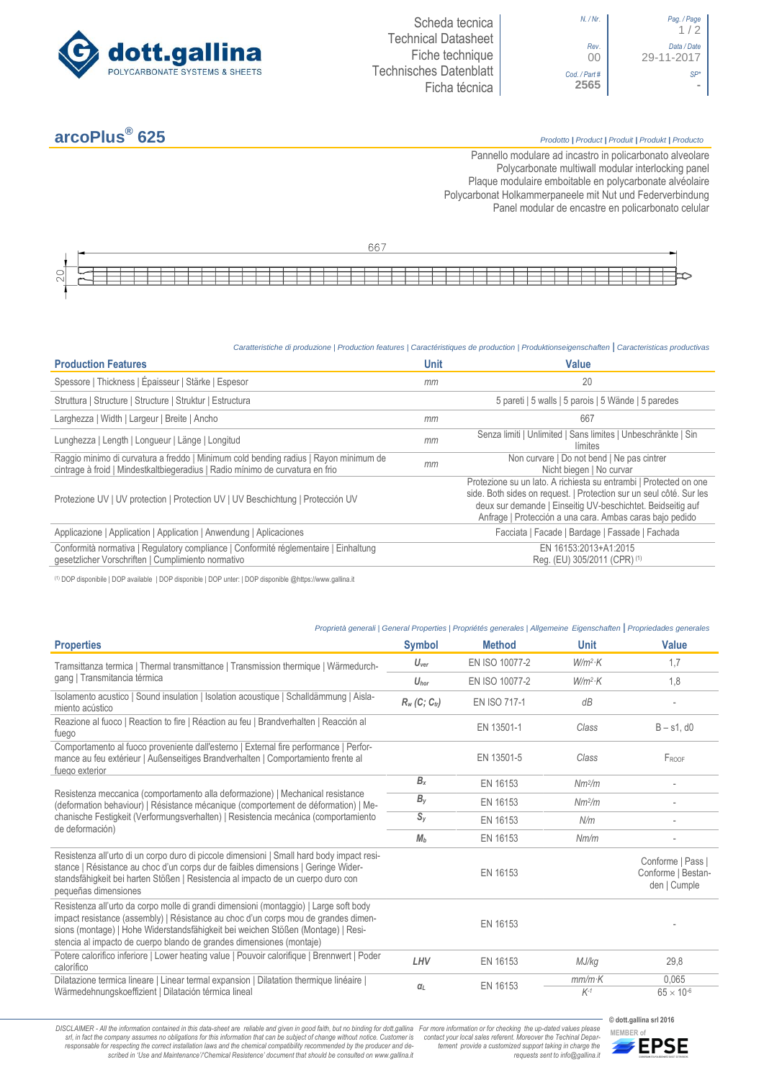

| $/Nr$ .        | Pag. / Page<br>1/2        |
|----------------|---------------------------|
| Rev.<br>00     | Data / Date<br>29-11-2017 |
| $2$ art#<br>65 |                           |

## **arcoPlus®**

## **625** *Prodotto <sup>|</sup> Product <sup>|</sup> Produit <sup>|</sup> Produkt <sup>|</sup> Producto*

Pannello modulare ad incastro in policarbonato alveolare Polycarbonate multiwall modular interlocking panel Plaque modulaire emboitable en polycarbonate alvéolaire Polycarbonat Holkammerpaneele mit Nut und Federverbindung [Panel modular de encastre en policarbonato c](http://www.google.it/url?sa=t&rct=j&q=&esrc=s&source=web&cd=6&ved=0ahUKEwiPyOW6w_3PAhXLORoKHXbkAhUQFggtMAU&url=http%3A%2F%2Fwww.getsl.com%2Fes%2Fmateriales-construccion%2Fsabic-policarbonato%2Fplaca-solida%2Flexan-exell-d-placa-translucida%2F&usg=AFQjCNF4aMpg9CRcF79iWWH-XBKKMH3eWA&bvm=bv.136811127,d.bGs)elular

|                                          |  |  |  |  |  |  |  |  |  |  |  | ∽r |  |  |  |  |  |  |  |  |  |  |  |  |
|------------------------------------------|--|--|--|--|--|--|--|--|--|--|--|----|--|--|--|--|--|--|--|--|--|--|--|--|
|                                          |  |  |  |  |  |  |  |  |  |  |  |    |  |  |  |  |  |  |  |  |  |  |  |  |
| $\overline{\phantom{a}}$<br>$\checkmark$ |  |  |  |  |  |  |  |  |  |  |  |    |  |  |  |  |  |  |  |  |  |  |  |  |
| $\sim$                                   |  |  |  |  |  |  |  |  |  |  |  |    |  |  |  |  |  |  |  |  |  |  |  |  |

## *Caratteristiche di produzione | Production features | Caractéristiques de production | Produktionseigenschaften* **|** *Caracteristicas productivas*

| <b>Production Features</b>                                                                                                                                            | <b>Unit</b> | Value                                                                                                                                                                                                                                                               |
|-----------------------------------------------------------------------------------------------------------------------------------------------------------------------|-------------|---------------------------------------------------------------------------------------------------------------------------------------------------------------------------------------------------------------------------------------------------------------------|
| Spessore   Thickness   Épaisseur   Stärke   Espesor                                                                                                                   | mm          | 20                                                                                                                                                                                                                                                                  |
| Struttura   Structure   Structure   Struktur   Estructura                                                                                                             |             | 5 pareti   5 walls   5 parois   5 Wände   5 paredes                                                                                                                                                                                                                 |
| Larghezza   Width   Largeur   Breite   Ancho                                                                                                                          | mm          | 667                                                                                                                                                                                                                                                                 |
| Lunghezza   Length   Longueur   Länge   Longitud                                                                                                                      | mm          | Senza limiti   Unlimited   Sans limites   Unbeschränkte   Sin<br>límites                                                                                                                                                                                            |
| Raggio minimo di curvatura a freddo   Minimum cold bending radius   Rayon minimum de<br>cintrage à froid   Mindestkaltbiegeradius   Radio mínimo de curvatura en frio | mm          | Non curvare   Do not bend   Ne pas cintrer<br>Nicht biegen   No curvar                                                                                                                                                                                              |
| Protezione UV   UV protection   Protection UV   UV Beschichtung   Protección UV                                                                                       |             | Protezione su un lato. A richiesta su entrambi   Protected on one<br>side. Both sides on request.   Protection sur un seul côté. Sur les<br>deux sur demande   Einseitig UV-beschichtet. Beidseitig auf<br>Anfrage   Protección a una cara. Ambas caras bajo pedido |
| Applicazione   Application   Application   Anwendung   Aplicaciones                                                                                                   |             | Facciata   Facade   Bardage   Fassade   Fachada                                                                                                                                                                                                                     |
| Conformità normativa   Regulatory compliance   Conformité réglementaire   Einhaltung<br>gesetzlicher Vorschriften   Cumplimiento normativo                            |             | EN 16153:2013+A1:2015<br>Reg. (EU) 305/2011 (CPR) (1)                                                                                                                                                                                                               |

(1) DOP disponibile | DOP available | DOP disponible | DOP unter: | DOP disponible @https://www.gallina.it

## *Proprietà generali | General Properties | Propriétés generales | Allgemeine Eigenschaften* **|** *Propriedades generales*

| <b>Properties</b>                                                                                                                                                                                                                                                                                                                       | <b>Symbol</b>                                                    | <b>Method</b>  | <b>Unit</b>        | Value                                                   |
|-----------------------------------------------------------------------------------------------------------------------------------------------------------------------------------------------------------------------------------------------------------------------------------------------------------------------------------------|------------------------------------------------------------------|----------------|--------------------|---------------------------------------------------------|
| Tramsittanza termica   Thermal transmittance   Transmission thermique   Wärmedurch-                                                                                                                                                                                                                                                     | $U_{\text{ver}}$                                                 | EN ISO 10077-2 | $W/m^2$ K          | 1.7                                                     |
| gang   Transmitancia térmica                                                                                                                                                                                                                                                                                                            | $U_{\text{hor}}$                                                 | EN ISO 10077-2 | $W/m^2$ K          | 1,8                                                     |
| Isolamento acustico   Sound insulation   Isolation acoustique   Schalldämmung   Aisla-<br>miento acústico                                                                                                                                                                                                                               | $R_w$ (C; C <sub>tr</sub> )                                      | EN ISO 717-1   | dB                 |                                                         |
| Reazione al fuoco   Reaction to fire   Réaction au feu   Brandverhalten   Reacción al<br>fuego                                                                                                                                                                                                                                          |                                                                  | EN 13501-1     | Class              | $B - s1$ , d $0$                                        |
| Comportamento al fuoco proveniente dall'esterno   External fire performance   Perfor-<br>mance au feu extérieur   Außenseitiges Brandverhalten   Comportamiento frente al<br>fuego exterior                                                                                                                                             |                                                                  | EN 13501-5     | Class              | FROOF                                                   |
|                                                                                                                                                                                                                                                                                                                                         | $B_{x}$                                                          | EN 16153       | Nm <sup>2</sup> /m |                                                         |
| Resistenza meccanica (comportamento alla deformazione)   Mechanical resistance<br>(deformation behaviour)   Résistance mécanique (comportement de déformation)   Me-                                                                                                                                                                    | $B_y$                                                            | EN 16153       | Nm <sup>2</sup> /m |                                                         |
| chanische Festigkeit (Verformungsverhalten)   Resistencia mecánica (comportamiento<br>de deformación)                                                                                                                                                                                                                                   | $S_{V}$<br>EN 16153<br>N/m<br>M <sub>b</sub><br>EN 16153<br>Nm/m |                |                    |                                                         |
|                                                                                                                                                                                                                                                                                                                                         |                                                                  |                |                    |                                                         |
| Resistenza all'urto di un corpo duro di piccole dimensioni   Small hard body impact resi-<br>stance   Résistance au choc d'un corps dur de faibles dimensions   Geringe Wider-<br>standsfähigkeit bei harten Stößen   Resistencia al impacto de un cuerpo duro con<br>pequeñas dimensiones                                              |                                                                  | EN 16153       |                    | Conforme   Pass  <br>Conforme   Bestan-<br>den   Cumple |
| Resistenza all'urto da corpo molle di grandi dimensioni (montaggio)   Large soft body<br>impact resistance (assembly)   Résistance au choc d'un corps mou de grandes dimen-<br>sions (montage)   Hohe Widerstandsfähigkeit bei weichen Stößen (Montage)   Resi-<br>stencia al impacto de cuerpo blando de grandes dimensiones (montaje) |                                                                  | EN 16153       |                    |                                                         |
| Potere calorifico inferiore   Lower heating value   Pouvoir calorifique   Brennwert   Poder<br>calorífico                                                                                                                                                                                                                               | LHV                                                              | EN 16153       | MJ/kg              | 29,8                                                    |
| Dilatazione termica lineare   Linear termal expansion   Dilatation thermique linéaire  <br>Wärmedehnungskoeffizient   Dilatación térmica lineal                                                                                                                                                                                         | $q_L$                                                            | EN 16153       | $mm/m$ K<br>$K-1$  | 0,065<br>$65 \times 10^{-6}$                            |

DISCLAIMER - All the information contained in this data-sheet are reliable and given in good faith, but no binding for dott.gallina For more information or for checking the up-dated values please<br>-srl, in fact the company -responsable for respecting the correct installation laws and the chemical compatibility recommended by the producer and de-<br>scribed in 'Use and Maintenance'/'Chemical Resistence' document that should be consulted on www.g

**© dott.gallina srl 2016** *tement provide a customized support taking in charge the requests sent to info@gallina.it*